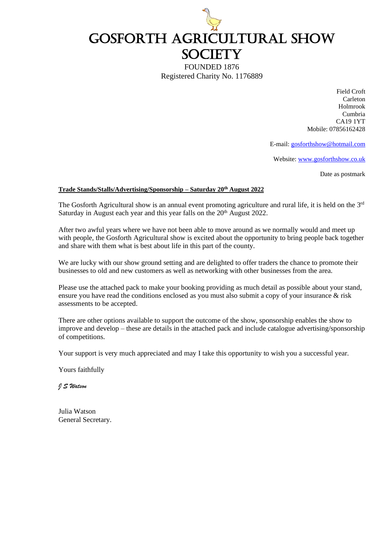

FOUNDED 1876 Registered Charity No. 1176889

> Field Croft Carleton Holmrook Cumbria CA19 1YT Mobile: 07856162428

E-mail: [gosforthshow@hotmail.com](about:blank)

Website: [www.gosforthshow.co.uk](about:blank)

Date as postmark

#### **Trade Stands/Stalls/Advertising/Sponsorship – Saturday 20th August 2022**

The Gosforth Agricultural show is an annual event promoting agriculture and rural life, it is held on the  $3^{rd}$ Saturday in August each year and this year falls on the 20<sup>th</sup> August 2022.

After two awful years where we have not been able to move around as we normally would and meet up with people, the Gosforth Agricultural show is excited about the opportunity to bring people back together and share with them what is best about life in this part of the county.

We are lucky with our show ground setting and are delighted to offer traders the chance to promote their businesses to old and new customers as well as networking with other businesses from the area.

Please use the attached pack to make your booking providing as much detail as possible about your stand, ensure you have read the conditions enclosed as you must also submit a copy of your insurance  $\&$  risk assessments to be accepted.

There are other options available to support the outcome of the show, sponsorship enables the show to improve and develop – these are details in the attached pack and include catalogue advertising/sponsorship of competitions.

Your support is very much appreciated and may I take this opportunity to wish you a successful year.

Yours faithfully

*J S Watson*

Julia Watson General Secretary.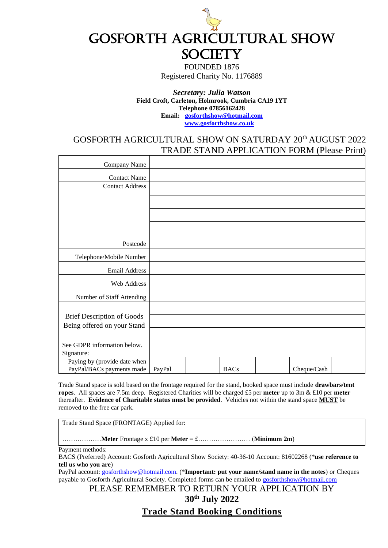

FOUNDED 1876 Registered Charity No. 1176889

#### *Secretary: Julia Watson* **Field Croft, Carleton, Holmrook, Cumbria CA19 1YT Telephone 07856162428 Email: [gosforthshow@hotmail.com](mailto:gosforthshow@hotmail.com) [www.gosforthshow.co.uk](http://www.gosforthshow.co.uk/)**

## GOSFORTH AGRICULTURAL SHOW ON SATURDAY 20th AUGUST 2022 TRADE STAND APPLICATION FORM (Please Print)

| Company Name                                              |        |             |             |  |
|-----------------------------------------------------------|--------|-------------|-------------|--|
| <b>Contact Name</b>                                       |        |             |             |  |
| <b>Contact Address</b>                                    |        |             |             |  |
|                                                           |        |             |             |  |
|                                                           |        |             |             |  |
|                                                           |        |             |             |  |
|                                                           |        |             |             |  |
| Postcode                                                  |        |             |             |  |
| Telephone/Mobile Number                                   |        |             |             |  |
| <b>Email Address</b>                                      |        |             |             |  |
| Web Address                                               |        |             |             |  |
| Number of Staff Attending                                 |        |             |             |  |
|                                                           |        |             |             |  |
| <b>Brief Description of Goods</b>                         |        |             |             |  |
| Being offered on your Stand                               |        |             |             |  |
|                                                           |        |             |             |  |
| See GDPR information below.                               |        |             |             |  |
| Signature:                                                |        |             |             |  |
| Paying by (provide date when<br>PayPal/BACs payments made |        | <b>BACs</b> |             |  |
|                                                           | PayPal |             | Cheque/Cash |  |

Trade Stand space is sold based on the frontage required for the stand, booked space must include **drawbars/tent ropes**. All spaces are 7.5m deep. Registered Charities will be charged £5 per **meter** up to 3m & £10 per **meter** thereafter. **Evidence of Charitable status must be provided**. Vehicles not within the stand space **MUST** be removed to the free car park.

Trade Stand Space (FRONTAGE) Applied for:

………………**Meter** Frontage x £10 per **Meter** = £…………………… (**Minimum 2m**)

Payment methods:

BACS (Preferred) Account: Gosforth Agricultural Show Society: 40-36-10 Account: 81602268 (\***use reference to tell us who you are**)

PayPal account: [gosforthshow@hotmail.com.](mailto:gosforthshow@hotmail.com) (\***Important: put your name/stand name in the notes**) or Cheques payable to Gosforth Agricultural Society. Completed forms can be emailed to **gosforthshow@hotmail.com** 

PLEASE REMEMBER TO RETURN YOUR APPLICATION BY

**30th July 2022**

**Trade Stand Booking Conditions**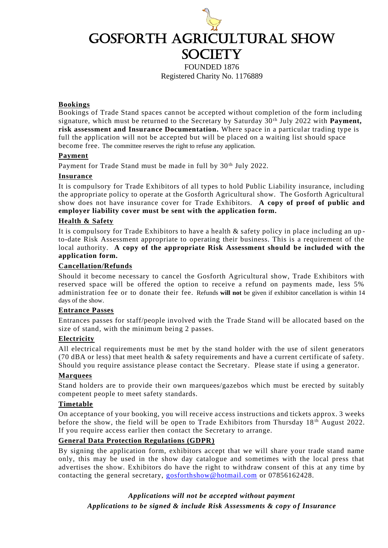

FOUNDED 1876 Registered Charity No. 1176889

### **Bookings**

Bookings of Trade Stand spaces cannot be accepted without completion of the form including signature, which must be returned to the Secretary by Saturday 30<sup>th</sup> July 2022 with **Payment**, **risk assessment and Insurance Documentation.** Where space in a particular trading type is full the application will not be accepted but will be placed on a waiting list should space become free. The committee reserves the right to refuse any application.

### **Payment**

Payment for Trade Stand must be made in full by 30<sup>th</sup> July 2022.

### **Insurance**

It is compulsory for Trade Exhibitors of all types to hold Public Liability insurance, including the appropriate policy to operate at the Gosforth Agricultural show. The Gosforth Agricultural show does not have insurance cover for Trade Exhibitors. **A copy of proof of public and employer liability cover must be sent with the application form.**

### **Health & Safety**

It is compulsory for Trade Exhibitors to have a health & safety policy in place including an up to-date Risk Assessment appropriate to operating their business. This is a requirement of the local authority. **A copy of the appropriate Risk Assessment should be included with the application form.**

### **Cancellation/Refunds**

Should it become necessary to cancel the Gosforth Agricultural show, Trade Exhibitors with reserved space will be offered the option to receive a refund on payments made, less 5% administration fee or to donate their fee. Refunds **will not** be given if exhibitor cancellation is within 14 days of the show.

### **Entrance Passes**

Entrances passes for staff/people involved with the Trade Stand will be allocated based on the size of stand, with the minimum being 2 passes.

### **Electricity**

All electrical requirements must be met by the stand holder with the use of silent generators (70 dBA or less) that meet health & safety requirements and have a current certificate of safety. Should you require assistance please contact the Secretary. Please state if using a generator.

### **Marquees**

Stand holders are to provide their own marquees/gazebos which must be erected by suitably competent people to meet safety standards.

### **Timetable**

On acceptance of your booking, you will receive access instructions and tickets approx. 3 weeks before the show, the field will be open to Trade Exhibitors from Thursday 18<sup>th</sup> August 2022. If you require access earlier then contact the Secretary to arrange.

### **General Data Protection Regulations (GDPR)**

By signing the application form, exhibitors accept that we will share your trade stand name only, this may be used in the show day catalogue and sometimes with the local press that advertises the show. Exhibitors do have the right to withdraw consent of this at any time by contacting the general secretary, [gosforthshow@hotmail.com](mailto:gosforthshow@hotmail.com) or 07856162428.

### *Applications will not be accepted without payment*

*Applications to be signed & include Risk Assessments & copy o f Insurance*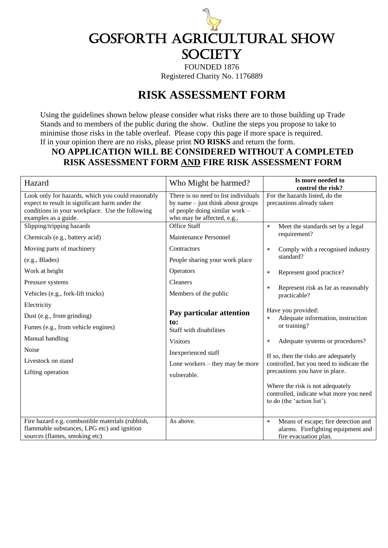

Registered Charity No. 1176889

# **RISK ASSESSMENT FORM**

Using the guidelines shown below please consider what risks there are to those building up Trade Stands and to members of the public during the show. Outline the steps you propose to take to minimise those risks in the table overleaf. Please copy this page if more space is required. If in your opinion there are no risks, please print **NO RISKS** and return the form.

# **NO APPLICATION WILL BE CONSIDERED WITHOUT A COMPLETED RISK ASSESSMENT FORM AND FIRE RISK ASSESSMENT FORM**

| Hazard                                                                                                                                                                         | Who Might be harmed?                                                                                                                        | Is more needed to<br>control the risk?                                                                             |
|--------------------------------------------------------------------------------------------------------------------------------------------------------------------------------|---------------------------------------------------------------------------------------------------------------------------------------------|--------------------------------------------------------------------------------------------------------------------|
| Look only for hazards, which you could reasonably<br>expect to result in significant harm under the<br>conditions in your workplace. Use the following<br>examples as a guide. | There is no need to list individuals<br>by name $-$ just think about groups<br>of people doing similar work -<br>who may be affected, e.g., | For the hazards listed, do the<br>precautions already taken                                                        |
| Slipping/tripping hazards<br>Chemicals (e.g., battery acid)<br>Moving parts of machinery                                                                                       | <b>Office Staff</b><br>Maintenance Personnel<br>Contractors                                                                                 | Meet the standards set by a legal<br>$\star$<br>requirement?<br>Comply with a recognised industry<br>$\ast$        |
| (e.g., Blades)                                                                                                                                                                 | People sharing your work place                                                                                                              | standard?                                                                                                          |
| Work at height<br>Pressure systems                                                                                                                                             | Operators<br>Cleaners                                                                                                                       | Represent good practice?<br>$\ast$                                                                                 |
| Vehicles (e.g., fork-lift trucks)                                                                                                                                              | Members of the public                                                                                                                       | Represent risk as far as reasonably<br>$\ast$<br>practicable?                                                      |
| Electricity<br>Dust (e.g., from grinding)<br>Fumes (e.g., from vehicle engines)                                                                                                | Pay particular attention<br>to:<br>Staff with disabilities                                                                                  | Have you provided:<br>Adequate information, instruction<br>$\ast$<br>or training?                                  |
| Manual handling<br>Noise                                                                                                                                                       | <b>Visitors</b><br>Inexperienced staff                                                                                                      | Adequate systems or procedures?<br>$\ast$                                                                          |
| Livestock on stand<br>Lifting operation                                                                                                                                        | Lone workers $-$ they may be more<br>vulnerable.                                                                                            | If so, then the risks are adequately<br>controlled, but you need to indicate the<br>precautions you have in place. |
|                                                                                                                                                                                |                                                                                                                                             | Where the risk is not adequately<br>controlled, indicate what more you need<br>to do (the 'action list').          |
| Fire hazard e.g. combustible materials (rubbish,<br>flammable substances, LPG etc) and ignition<br>sources (flames, smoking etc)                                               | As above.                                                                                                                                   | Means of escape; fire detection and<br>$\star$<br>alarms. Firefighting equipment and<br>fire evacuation plan.      |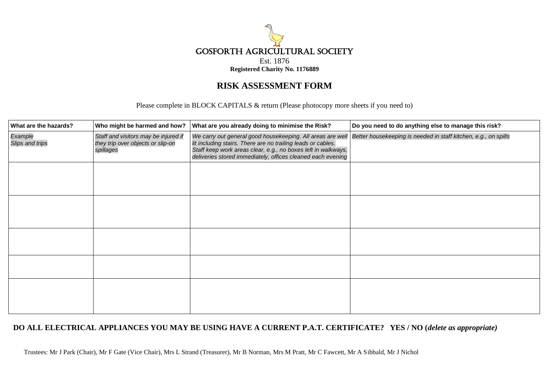

# **RISK ASSESSMENT FORM**

Please complete in BLOCK CAPITALS & return (Please photocopy more sheets if you need to)

| What are the hazards?      | Who might be harmed and how?                                                           | What are you already doing to minimise the Risk?                                                                                                                                             | Do you need to do anything else to manage this risk?                                                                       |
|----------------------------|----------------------------------------------------------------------------------------|----------------------------------------------------------------------------------------------------------------------------------------------------------------------------------------------|----------------------------------------------------------------------------------------------------------------------------|
| Example<br>Slips and trips | Staff and visitors may be injured if<br>they trip over objects or slip-on<br>spillages | lit including stairs. There are no trailing leads or cables.<br>Staff keep work areas clear, e.g., no boxes left in walkways,<br>deliveries stored immediately, offices cleaned each evening | We carry out general good housekeeping. All areas are well Better housekeeping is needed in staff kitchen, e.g., on spills |
|                            |                                                                                        |                                                                                                                                                                                              |                                                                                                                            |
|                            |                                                                                        |                                                                                                                                                                                              |                                                                                                                            |
|                            |                                                                                        |                                                                                                                                                                                              |                                                                                                                            |
|                            |                                                                                        |                                                                                                                                                                                              |                                                                                                                            |
|                            |                                                                                        |                                                                                                                                                                                              |                                                                                                                            |

### **DO ALL ELECTRICAL APPLIANCES YOU MAY BE USING HAVE A CURRENT P.A.T. CERTIFICATE? YES / NO (***delete as appropriate)*

Trustees: Mr J Park (Chair), Mr F Gate (Vice Chair), Mrs L Strand (Treasurer), Mr B Norman, Mrs M Pratt, Mr C Fawcett, Mr A Sibbald, Mr J Nichol